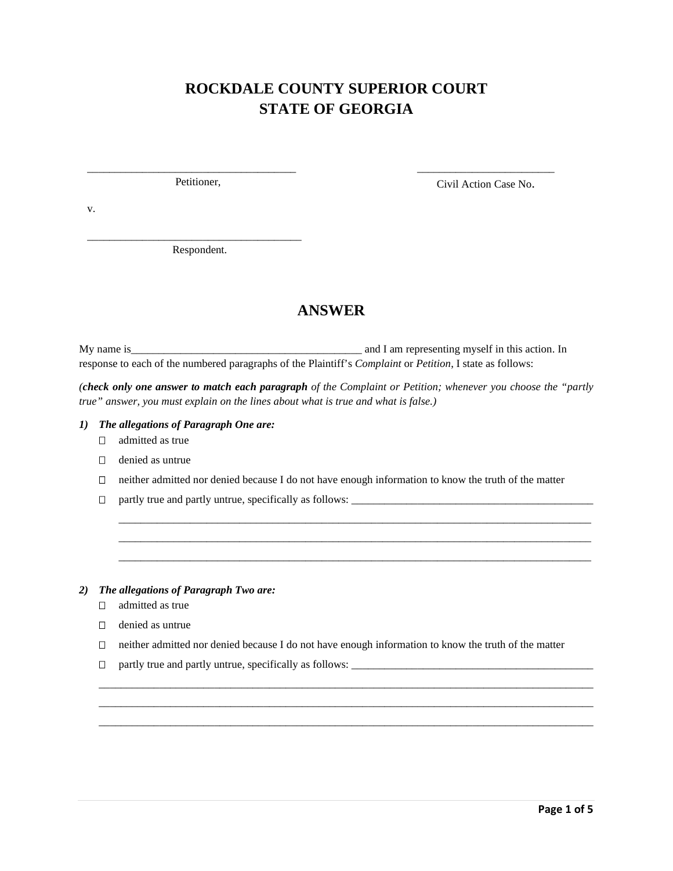# **ROCKDALE COUNTY SUPERIOR COURT STATE OF GEORGIA**

\_\_\_\_\_\_\_\_\_\_\_\_\_\_\_\_\_\_\_\_\_\_\_\_\_\_\_\_\_\_\_\_\_\_\_\_\_\_ Petitioner,

\_\_\_\_\_\_\_\_\_\_\_\_\_\_\_\_\_\_\_\_\_\_\_\_\_ Civil Action Case No.

v.

\_\_\_\_\_\_\_\_\_\_\_\_\_\_\_\_\_\_\_\_\_\_\_\_\_\_\_\_\_\_\_\_\_\_\_\_\_\_\_ Respondent.

## **ANSWER**

My name is\_\_\_\_\_\_\_\_\_\_\_\_\_\_\_\_\_\_\_\_\_\_\_\_\_\_\_\_\_\_\_\_\_\_\_\_\_\_\_\_\_\_ and I am representing myself in this action. In response to each of the numbered paragraphs of the Plaintiff's *Complaint* or *Petition*, I state as follows:

*(check only one answer to match each paragraph of the Complaint or Petition; whenever you choose the "partly true" answer, you must explain on the lines about what is true and what is false.)*

#### *1) The allegations of Paragraph One are:*

- $\Box$  admitted as true
- denied as untrue
- $\Box$  neither admitted nor denied because I do not have enough information to know the truth of the matter

\_\_\_\_\_\_\_\_\_\_\_\_\_\_\_\_\_\_\_\_\_\_\_\_\_\_\_\_\_\_\_\_\_\_\_\_\_\_\_\_\_\_\_\_\_\_\_\_\_\_\_\_\_\_\_\_\_\_\_\_\_\_\_\_\_\_\_\_\_\_\_\_\_\_\_\_\_\_\_\_\_\_\_\_\_\_ \_\_\_\_\_\_\_\_\_\_\_\_\_\_\_\_\_\_\_\_\_\_\_\_\_\_\_\_\_\_\_\_\_\_\_\_\_\_\_\_\_\_\_\_\_\_\_\_\_\_\_\_\_\_\_\_\_\_\_\_\_\_\_\_\_\_\_\_\_\_\_\_\_\_\_\_\_\_\_\_\_\_\_\_\_\_ \_\_\_\_\_\_\_\_\_\_\_\_\_\_\_\_\_\_\_\_\_\_\_\_\_\_\_\_\_\_\_\_\_\_\_\_\_\_\_\_\_\_\_\_\_\_\_\_\_\_\_\_\_\_\_\_\_\_\_\_\_\_\_\_\_\_\_\_\_\_\_\_\_\_\_\_\_\_\_\_\_\_\_\_\_\_

- $\Box$  partly true and partly untrue, specifically as follows:  $\Box$
- *2) The allegations of Paragraph Two are:* 
	- admitted as true
	- denied as untrue
	- $\Box$  neither admitted nor denied because I do not have enough information to know the truth of the matter

\_\_\_\_\_\_\_\_\_\_\_\_\_\_\_\_\_\_\_\_\_\_\_\_\_\_\_\_\_\_\_\_\_\_\_\_\_\_\_\_\_\_\_\_\_\_\_\_\_\_\_\_\_\_\_\_\_\_\_\_\_\_\_\_\_\_\_\_\_\_\_\_\_\_\_\_\_\_\_\_\_\_\_\_\_\_\_\_\_\_ \_\_\_\_\_\_\_\_\_\_\_\_\_\_\_\_\_\_\_\_\_\_\_\_\_\_\_\_\_\_\_\_\_\_\_\_\_\_\_\_\_\_\_\_\_\_\_\_\_\_\_\_\_\_\_\_\_\_\_\_\_\_\_\_\_\_\_\_\_\_\_\_\_\_\_\_\_\_\_\_\_\_\_\_\_\_\_\_\_\_ \_\_\_\_\_\_\_\_\_\_\_\_\_\_\_\_\_\_\_\_\_\_\_\_\_\_\_\_\_\_\_\_\_\_\_\_\_\_\_\_\_\_\_\_\_\_\_\_\_\_\_\_\_\_\_\_\_\_\_\_\_\_\_\_\_\_\_\_\_\_\_\_\_\_\_\_\_\_\_\_\_\_\_\_\_\_\_\_\_\_

partly true and partly untrue, specifically as follows: \_\_\_\_\_\_\_\_\_\_\_\_\_\_\_\_\_\_\_\_\_\_\_\_\_\_\_\_\_\_\_\_\_\_\_\_\_\_\_\_\_\_\_\_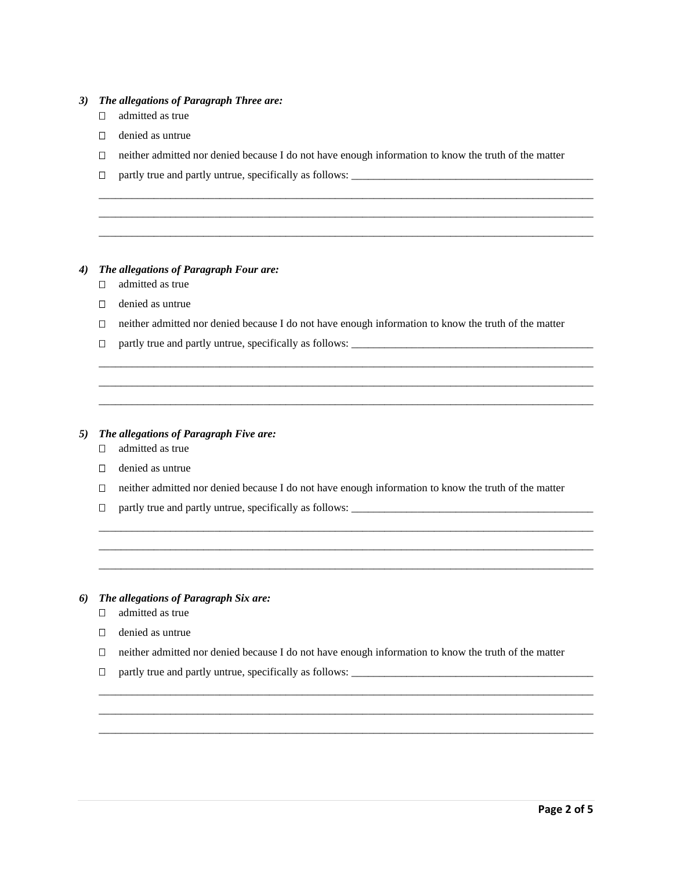#### *3) The allegations of Paragraph Three are:*

- admitted as true
- $\Box$  denied as untrue
- $\Box$  neither admitted nor denied because I do not have enough information to know the truth of the matter

\_\_\_\_\_\_\_\_\_\_\_\_\_\_\_\_\_\_\_\_\_\_\_\_\_\_\_\_\_\_\_\_\_\_\_\_\_\_\_\_\_\_\_\_\_\_\_\_\_\_\_\_\_\_\_\_\_\_\_\_\_\_\_\_\_\_\_\_\_\_\_\_\_\_\_\_\_\_\_\_\_\_\_\_\_\_\_\_\_\_ \_\_\_\_\_\_\_\_\_\_\_\_\_\_\_\_\_\_\_\_\_\_\_\_\_\_\_\_\_\_\_\_\_\_\_\_\_\_\_\_\_\_\_\_\_\_\_\_\_\_\_\_\_\_\_\_\_\_\_\_\_\_\_\_\_\_\_\_\_\_\_\_\_\_\_\_\_\_\_\_\_\_\_\_\_\_\_\_\_\_ \_\_\_\_\_\_\_\_\_\_\_\_\_\_\_\_\_\_\_\_\_\_\_\_\_\_\_\_\_\_\_\_\_\_\_\_\_\_\_\_\_\_\_\_\_\_\_\_\_\_\_\_\_\_\_\_\_\_\_\_\_\_\_\_\_\_\_\_\_\_\_\_\_\_\_\_\_\_\_\_\_\_\_\_\_\_\_\_\_\_

partly true and partly untrue, specifically as follows: \_\_\_\_\_\_\_\_\_\_\_\_\_\_\_\_\_\_\_\_\_\_\_\_\_\_\_\_\_\_\_\_\_\_\_\_\_\_\_\_\_\_\_\_

### *4) The allegations of Paragraph Four are:*

- □ admitted as true
- $\Box$  denied as untrue
- $\Box$  neither admitted nor denied because I do not have enough information to know the truth of the matter

\_\_\_\_\_\_\_\_\_\_\_\_\_\_\_\_\_\_\_\_\_\_\_\_\_\_\_\_\_\_\_\_\_\_\_\_\_\_\_\_\_\_\_\_\_\_\_\_\_\_\_\_\_\_\_\_\_\_\_\_\_\_\_\_\_\_\_\_\_\_\_\_\_\_\_\_\_\_\_\_\_\_\_\_\_\_\_\_\_\_ \_\_\_\_\_\_\_\_\_\_\_\_\_\_\_\_\_\_\_\_\_\_\_\_\_\_\_\_\_\_\_\_\_\_\_\_\_\_\_\_\_\_\_\_\_\_\_\_\_\_\_\_\_\_\_\_\_\_\_\_\_\_\_\_\_\_\_\_\_\_\_\_\_\_\_\_\_\_\_\_\_\_\_\_\_\_\_\_\_\_ \_\_\_\_\_\_\_\_\_\_\_\_\_\_\_\_\_\_\_\_\_\_\_\_\_\_\_\_\_\_\_\_\_\_\_\_\_\_\_\_\_\_\_\_\_\_\_\_\_\_\_\_\_\_\_\_\_\_\_\_\_\_\_\_\_\_\_\_\_\_\_\_\_\_\_\_\_\_\_\_\_\_\_\_\_\_\_\_\_\_

partly true and partly untrue, specifically as follows: \_\_\_\_\_\_\_\_\_\_\_\_\_\_\_\_\_\_\_\_\_\_\_\_\_\_\_\_\_\_\_\_\_\_\_\_\_\_\_\_\_\_\_\_

#### *5) The allegations of Paragraph Five are:*

- $\Box$  admitted as true
- $\Box$  denied as untrue
- $\Box$  neither admitted nor denied because I do not have enough information to know the truth of the matter

\_\_\_\_\_\_\_\_\_\_\_\_\_\_\_\_\_\_\_\_\_\_\_\_\_\_\_\_\_\_\_\_\_\_\_\_\_\_\_\_\_\_\_\_\_\_\_\_\_\_\_\_\_\_\_\_\_\_\_\_\_\_\_\_\_\_\_\_\_\_\_\_\_\_\_\_\_\_\_\_\_\_\_\_\_\_\_\_\_\_ \_\_\_\_\_\_\_\_\_\_\_\_\_\_\_\_\_\_\_\_\_\_\_\_\_\_\_\_\_\_\_\_\_\_\_\_\_\_\_\_\_\_\_\_\_\_\_\_\_\_\_\_\_\_\_\_\_\_\_\_\_\_\_\_\_\_\_\_\_\_\_\_\_\_\_\_\_\_\_\_\_\_\_\_\_\_\_\_\_\_ \_\_\_\_\_\_\_\_\_\_\_\_\_\_\_\_\_\_\_\_\_\_\_\_\_\_\_\_\_\_\_\_\_\_\_\_\_\_\_\_\_\_\_\_\_\_\_\_\_\_\_\_\_\_\_\_\_\_\_\_\_\_\_\_\_\_\_\_\_\_\_\_\_\_\_\_\_\_\_\_\_\_\_\_\_\_\_\_\_\_

 $\Box$  partly true and partly untrue, specifically as follows:  $\Box$ 

#### *6) The allegations of Paragraph Six are:*

- admitted as true
- $\Box$  denied as untrue
- $\Box$  neither admitted nor denied because I do not have enough information to know the truth of the matter

\_\_\_\_\_\_\_\_\_\_\_\_\_\_\_\_\_\_\_\_\_\_\_\_\_\_\_\_\_\_\_\_\_\_\_\_\_\_\_\_\_\_\_\_\_\_\_\_\_\_\_\_\_\_\_\_\_\_\_\_\_\_\_\_\_\_\_\_\_\_\_\_\_\_\_\_\_\_\_\_\_\_\_\_\_\_\_\_\_\_ \_\_\_\_\_\_\_\_\_\_\_\_\_\_\_\_\_\_\_\_\_\_\_\_\_\_\_\_\_\_\_\_\_\_\_\_\_\_\_\_\_\_\_\_\_\_\_\_\_\_\_\_\_\_\_\_\_\_\_\_\_\_\_\_\_\_\_\_\_\_\_\_\_\_\_\_\_\_\_\_\_\_\_\_\_\_\_\_\_\_ \_\_\_\_\_\_\_\_\_\_\_\_\_\_\_\_\_\_\_\_\_\_\_\_\_\_\_\_\_\_\_\_\_\_\_\_\_\_\_\_\_\_\_\_\_\_\_\_\_\_\_\_\_\_\_\_\_\_\_\_\_\_\_\_\_\_\_\_\_\_\_\_\_\_\_\_\_\_\_\_\_\_\_\_\_\_\_\_\_\_

 $\Box$  partly true and partly untrue, specifically as follows:  $\Box$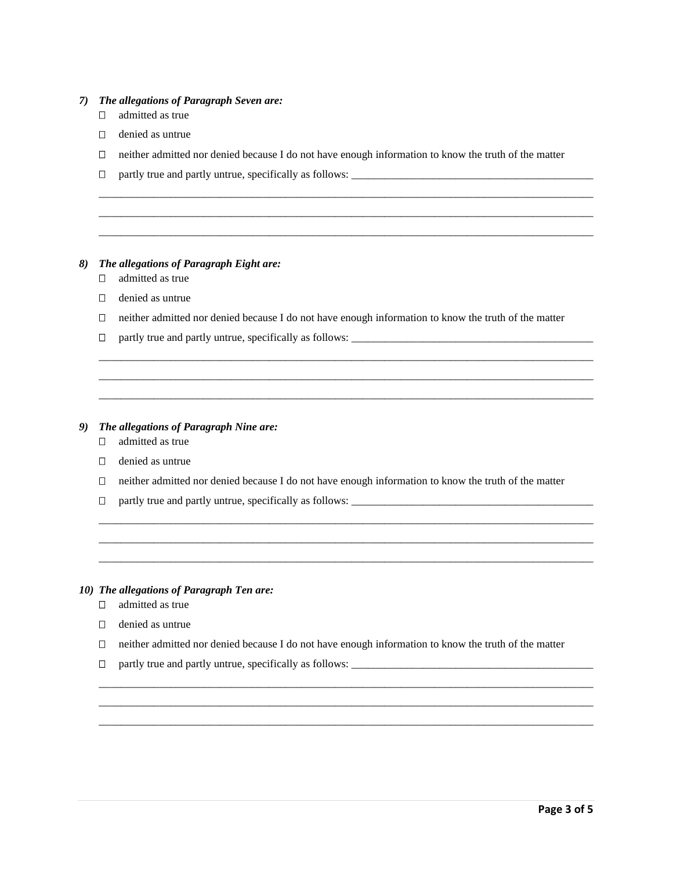#### *7) The allegations of Paragraph Seven are:*

- admitted as true
- $\Box$  denied as untrue
- $\Box$  neither admitted nor denied because I do not have enough information to know the truth of the matter

\_\_\_\_\_\_\_\_\_\_\_\_\_\_\_\_\_\_\_\_\_\_\_\_\_\_\_\_\_\_\_\_\_\_\_\_\_\_\_\_\_\_\_\_\_\_\_\_\_\_\_\_\_\_\_\_\_\_\_\_\_\_\_\_\_\_\_\_\_\_\_\_\_\_\_\_\_\_\_\_\_\_\_\_\_\_\_\_\_\_ \_\_\_\_\_\_\_\_\_\_\_\_\_\_\_\_\_\_\_\_\_\_\_\_\_\_\_\_\_\_\_\_\_\_\_\_\_\_\_\_\_\_\_\_\_\_\_\_\_\_\_\_\_\_\_\_\_\_\_\_\_\_\_\_\_\_\_\_\_\_\_\_\_\_\_\_\_\_\_\_\_\_\_\_\_\_\_\_\_\_ \_\_\_\_\_\_\_\_\_\_\_\_\_\_\_\_\_\_\_\_\_\_\_\_\_\_\_\_\_\_\_\_\_\_\_\_\_\_\_\_\_\_\_\_\_\_\_\_\_\_\_\_\_\_\_\_\_\_\_\_\_\_\_\_\_\_\_\_\_\_\_\_\_\_\_\_\_\_\_\_\_\_\_\_\_\_\_\_\_\_

□ partly true and partly untrue, specifically as follows: \_\_\_\_\_\_\_\_\_\_\_\_\_\_\_\_\_\_\_\_\_\_

### *8) The allegations of Paragraph Eight are:*

- admitted as true
- $\Box$  denied as untrue
- $\Box$  neither admitted nor denied because I do not have enough information to know the truth of the matter

\_\_\_\_\_\_\_\_\_\_\_\_\_\_\_\_\_\_\_\_\_\_\_\_\_\_\_\_\_\_\_\_\_\_\_\_\_\_\_\_\_\_\_\_\_\_\_\_\_\_\_\_\_\_\_\_\_\_\_\_\_\_\_\_\_\_\_\_\_\_\_\_\_\_\_\_\_\_\_\_\_\_\_\_\_\_\_\_\_\_ \_\_\_\_\_\_\_\_\_\_\_\_\_\_\_\_\_\_\_\_\_\_\_\_\_\_\_\_\_\_\_\_\_\_\_\_\_\_\_\_\_\_\_\_\_\_\_\_\_\_\_\_\_\_\_\_\_\_\_\_\_\_\_\_\_\_\_\_\_\_\_\_\_\_\_\_\_\_\_\_\_\_\_\_\_\_\_\_\_\_ \_\_\_\_\_\_\_\_\_\_\_\_\_\_\_\_\_\_\_\_\_\_\_\_\_\_\_\_\_\_\_\_\_\_\_\_\_\_\_\_\_\_\_\_\_\_\_\_\_\_\_\_\_\_\_\_\_\_\_\_\_\_\_\_\_\_\_\_\_\_\_\_\_\_\_\_\_\_\_\_\_\_\_\_\_\_\_\_\_\_

 $\Box$  partly true and partly untrue, specifically as follows:  $\Box$ 

#### *9) The allegations of Paragraph Nine are:*

- $\Box$  admitted as true
- $\Box$  denied as untrue
- $\Box$  neither admitted nor denied because I do not have enough information to know the truth of the matter

\_\_\_\_\_\_\_\_\_\_\_\_\_\_\_\_\_\_\_\_\_\_\_\_\_\_\_\_\_\_\_\_\_\_\_\_\_\_\_\_\_\_\_\_\_\_\_\_\_\_\_\_\_\_\_\_\_\_\_\_\_\_\_\_\_\_\_\_\_\_\_\_\_\_\_\_\_\_\_\_\_\_\_\_\_\_\_\_\_\_ \_\_\_\_\_\_\_\_\_\_\_\_\_\_\_\_\_\_\_\_\_\_\_\_\_\_\_\_\_\_\_\_\_\_\_\_\_\_\_\_\_\_\_\_\_\_\_\_\_\_\_\_\_\_\_\_\_\_\_\_\_\_\_\_\_\_\_\_\_\_\_\_\_\_\_\_\_\_\_\_\_\_\_\_\_\_\_\_\_\_ \_\_\_\_\_\_\_\_\_\_\_\_\_\_\_\_\_\_\_\_\_\_\_\_\_\_\_\_\_\_\_\_\_\_\_\_\_\_\_\_\_\_\_\_\_\_\_\_\_\_\_\_\_\_\_\_\_\_\_\_\_\_\_\_\_\_\_\_\_\_\_\_\_\_\_\_\_\_\_\_\_\_\_\_\_\_\_\_\_\_

 $\Box$  partly true and partly untrue, specifically as follows:  $\Box$ 

### *10) The allegations of Paragraph Ten are:*

- $\Box$  admitted as true
- $\Box$  denied as untrue
- $\Box$  neither admitted nor denied because I do not have enough information to know the truth of the matter

\_\_\_\_\_\_\_\_\_\_\_\_\_\_\_\_\_\_\_\_\_\_\_\_\_\_\_\_\_\_\_\_\_\_\_\_\_\_\_\_\_\_\_\_\_\_\_\_\_\_\_\_\_\_\_\_\_\_\_\_\_\_\_\_\_\_\_\_\_\_\_\_\_\_\_\_\_\_\_\_\_\_\_\_\_\_\_\_\_\_ \_\_\_\_\_\_\_\_\_\_\_\_\_\_\_\_\_\_\_\_\_\_\_\_\_\_\_\_\_\_\_\_\_\_\_\_\_\_\_\_\_\_\_\_\_\_\_\_\_\_\_\_\_\_\_\_\_\_\_\_\_\_\_\_\_\_\_\_\_\_\_\_\_\_\_\_\_\_\_\_\_\_\_\_\_\_\_\_\_\_ \_\_\_\_\_\_\_\_\_\_\_\_\_\_\_\_\_\_\_\_\_\_\_\_\_\_\_\_\_\_\_\_\_\_\_\_\_\_\_\_\_\_\_\_\_\_\_\_\_\_\_\_\_\_\_\_\_\_\_\_\_\_\_\_\_\_\_\_\_\_\_\_\_\_\_\_\_\_\_\_\_\_\_\_\_\_\_\_\_\_

 $\Box$  partly true and partly untrue, specifically as follows:  $\Box$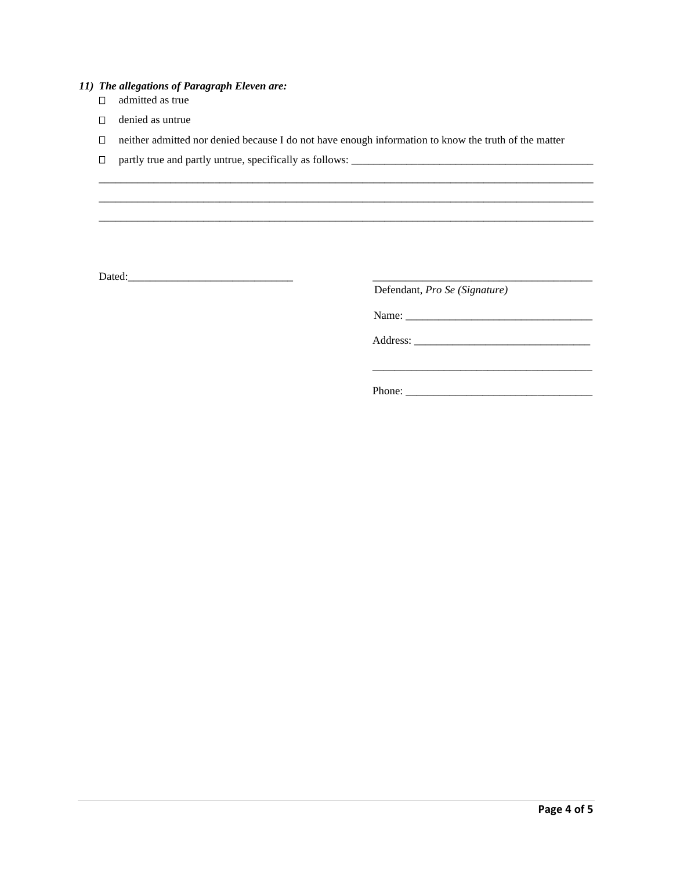- *11) The allegations of Paragraph Eleven are:* 
	- $\Box$  admitted as true
	- denied as untrue
	- neither admitted nor denied because I do not have enough information to know the truth of the matter

\_\_\_\_\_\_\_\_\_\_\_\_\_\_\_\_\_\_\_\_\_\_\_\_\_\_\_\_\_\_\_\_\_\_\_\_\_\_\_\_\_\_\_\_\_\_\_\_\_\_\_\_\_\_\_\_\_\_\_\_\_\_\_\_\_\_\_\_\_\_\_\_\_\_\_\_\_\_\_\_\_\_\_\_\_\_\_\_\_\_ \_\_\_\_\_\_\_\_\_\_\_\_\_\_\_\_\_\_\_\_\_\_\_\_\_\_\_\_\_\_\_\_\_\_\_\_\_\_\_\_\_\_\_\_\_\_\_\_\_\_\_\_\_\_\_\_\_\_\_\_\_\_\_\_\_\_\_\_\_\_\_\_\_\_\_\_\_\_\_\_\_\_\_\_\_\_\_\_\_\_

 $\overline{\phantom{a}}$  , and the contract of the contract of the contract of the contract of the contract of the contract of the contract of the contract of the contract of the contract of the contract of the contract of the contrac

partly true and partly untrue, specifically as follows: \_\_\_\_\_\_\_\_\_\_\_\_\_\_\_\_\_\_\_\_\_\_\_\_\_\_\_\_\_\_\_\_\_\_\_\_\_\_\_\_\_\_\_\_

Dated:\_\_\_\_\_\_\_\_\_\_\_\_\_\_\_\_\_\_\_\_\_\_\_\_\_\_\_\_\_\_ \_\_\_\_\_\_\_\_\_\_\_\_\_\_\_\_\_\_\_\_\_\_\_\_\_\_\_\_\_\_\_\_\_\_\_\_\_\_\_\_

Defendant, *Pro Se (Signature)*

Name: \_\_\_\_\_\_\_\_\_\_\_\_\_\_\_\_\_\_\_\_\_\_\_\_\_\_\_\_\_\_\_\_\_\_

Address: \_\_\_\_\_\_\_\_\_\_\_\_\_\_\_\_\_\_\_\_\_\_\_\_\_\_\_\_\_\_\_\_

Phone: \_\_\_\_\_\_\_\_\_\_\_\_\_\_\_\_\_\_\_\_\_\_\_\_\_\_\_\_\_\_\_\_\_\_